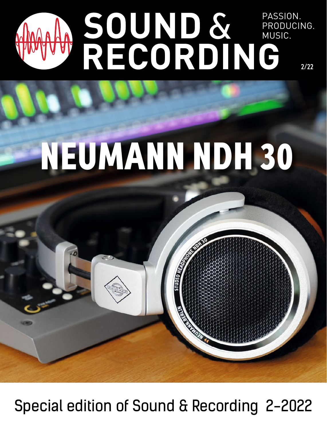## PASSION. PRODUCING. MUSIC. 2/22

## NEUMANN NDH 30

PASSION.

**MUSIC.** 

**PRODUCTS** 

Special edition of Sound & Recording 2-2022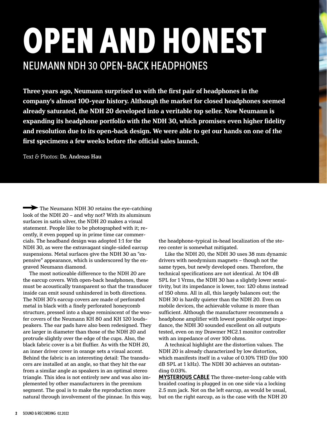## OPEN AND HONEST NEUMANN NDH 30 OPEN-BACK HEADPHONES

**Three years ago, Neumann surprised us with the first pair of headphones in the company's almost 100-year history. Although the market for closed headphones seemed already saturated, the NDH 20 developed into a veritable top seller. Now Neumann is expanding its headphone portfolio with the NDH 30, which promises even higher fidelity and resolution due to its open-back design. We were able to get our hands on one of the first specimens a few weeks before the official sales launch.**

Text & Photos: Dr. Andreas Hau

The Neumann NDH 30 retains the eye-catching look of the NDH 20 – and why not? With its aluminum surfaces in satin silver, the NDH 20 makes a visual statement. People like to be photographed with it; recently, it even popped up in prime time car commercials. The headband design was adopted 1:1 for the NDH 30, as were the extravagant single-sided earcup suspensions. Metal surfaces give the NDH 30 an "expensive" appearance, which is underscored by the engraved Neumann diamond.

The most noticeable difference to the NDH 20 are the earcup covers. With open-back headphones, these must be acoustically transparent so that the transducer inside can emit sound unhindered in both directions. The NDH 30's earcup covers are made of perforated metal in black with a finely perforated honeycomb structure, pressed into a shape reminiscent of the woofer covers of the Neumann KH 80 and KH 120 loudspeakers. The ear pads have also been redesigned. They are larger in diameter than those of the NDH 20 and protrude slightly over the edge of the cups. Also, the black fabric cover is a bit fluffier. As with the NDH 20, an inner driver cover in orange sets a visual accent. Behind the fabric is an interesting detail: The transducers are installed at an angle, so that they hit the ear from a similar angle as speakers in an optimal stereo triangle. This idea is not entirely new and was also implemented by other manufacturers in the premium segment. The goal is to make the reproduction more natural through involvement of the pinnae. In this way, the headphone-typical in-head localization of the stereo center is somewhat mitigated.

Like the NDH 20, the NDH 30 uses 38 mm dynamic drivers with neodymium magnets – though not the same types, but newly developed ones. Therefore, the technical specifications are not identical. At 104 dB SPL for 1 Vrms, the NDH 30 has a slightly lower sensitivity, but its impedance is lower, too: 120 ohms instead of 150 ohms. All in all, this largely balances out; the NDH 30 is hardly quieter than the NDH 20. Even on mobile devices, the achievable volume is more than sufficient. Although the manufacturer recommends a headphone amplifier with lowest possible output impedance, the NDH 30 sounded excellent on all outputs tested, even on my Drawmer MC2.1 monitor controller with an impedance of over 100 ohms.

A technical highlight are the distortion values. The NDH 20 is already characterized by low distortion, which manifests itself in a value of 0.10% THD (for 100 dB SPL at 1 kHz). The NDH 30 achieves an outstanding 0.03%.

**MYSTERIOUS CABLE** The three-meter-long cable with braided coating is plugged in on one side via a locking 2.5 mm jack. Not on the left earcup, as would be usual, but on the right earcup, as is the case with the NDH 20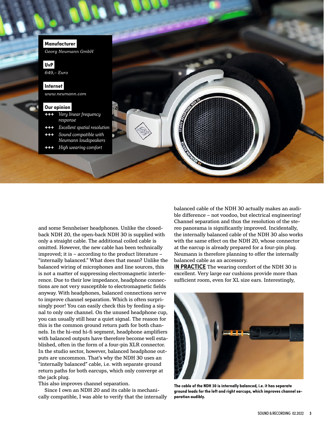

and some Sennheiser headphones. Unlike the closedback NDH 20, the open-back NDH 30 is supplied with only a straight cable. The additional coiled cable is omitted. However, the new cable has been technically improved; it is – according to the product literature – "internally balanced." What does that mean? Unlike the balanced wiring of microphones and line sources, this is not a matter of suppressing electromagnetic interference. Due to their low impedance, headphone connections are not very susceptible to electromagnetic fields anyway. With headphones, balanced connections serve to improve channel separation. Which is often surprisingly poor! You can easily check this by feeding a signal to only one channel. On the unused headphone cup, you can usually still hear a quiet signal. The reason for this is the common ground return path for both channels. In the hi-end hi-fi segment, headphone amplifiers with balanced outputs have therefore become well established, often in the form of a four-pin XLR connector. In the studio sector, however, balanced headphone outputs are uncommon. That's why the NDH 30 uses an "internally balanced" cable, i.e. with separate ground return paths for both earcups, which only converge at the jack plug.

This also improves channel separation.

Since I own an NDH 20 and its cable is mechanically compatible, I was able to verify that the internally balanced cable of the NDH 30 actually makes an audible difference – not voodoo, but electrical engineering! Channel separation and thus the resolution of the stereo panorama is significantly improved. Incidentally, the internally balanced cable of the NDH 30 also works with the same effect on the NDH 20, whose connector at the earcup is already prepared for a four-pin plug. Neumann is therefore planning to offer the internally balanced cable as an accessory.

**IN PRACTICE** The wearing comfort of the NDH 30 is excellent. Very large ear cushions provide more than sufficient room, even for XL size ears. Interestingly,



**The cable of the NDH 30 is internally balanced, i.e. it has separate ground leads for the left and right earcups, which improves channel separation audibly.**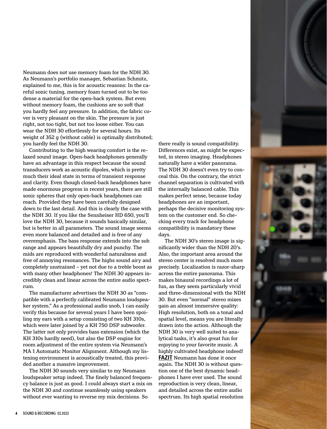

Neumann does not use memory foam for the NDH 30. As Neumann's portfolio manager, Sebastian Schmitz, explained to me, this is for acoustic reasons: In the careful sonic tuning, memory foam turned out to be too dense a material for the open-back system. But even without memory foam, the cushions are so soft that you hardly feel any pressure. In addition, the fabric cover is very pleasant on the skin. The pressure is just right, not too tight, but not too loose either. You can wear the NDH 30 effortlessly for several hours. Its weight of 352 g (without cable) is optimally distributed; you hardly feel the NDH 30.

Contributing to the high wearing comfort is the relaxed sound image. Open-back headphones generally have an advantage in this respect because the sound transducers work as acoustic dipoles, which is pretty much their ideal state in terms of transient response and clarity. Even though closed-back headphones have made enormous progress in recent years, there are still sonic spheres that only open-back headphones can reach. Provided they have been carefully designed down to the last detail. And this is clearly the case with the NDH 30. If you like the Sennheiser HD 650, you'll love the NDH 30, because it sounds basically similar, but is better in all parameters. The sound image seems even more balanced and detailed and is free of any overemphasis. The bass response extends into the sub range and appears beautifully dry and punchy. The mids are reproduced with wonderful naturalness and free of annoying resonances. The highs sound airy and completely unstrained – yet not due to a treble boost as with many other headphones! The NDH 30 appears incredibly clean and linear across the entire audio spectrum.

The manufacturer advertises the NDH 30 as "compatible with a perfectly calibrated Neumann loudspeaker system." As a professional audio snob, I can easily verify this because for several years I have been spoiling my ears with a setup consisting of two KH 310s, which were later joined by a KH 750 DSP subwoofer. The latter not only provides bass extension (which the KH 310s hardly need), but also the DSP engine for room adjustment of the entire system via Neumann's MA 1 Automatic Monitor Alignment. Although my listening environment is acoustically treated, this provided another a massive improvement.

The NDH 30 sounds very similar to my Neumann loudspeaker setup indeed. The finely balanced frequency balance is just as good. I could always start a mix on the NDH 30 and continue seamlessly using speakers without ever wanting to reverse my mix decisions. So

there really is sound compatibility. Differences exist, as might be expected, in stereo imaging. Headphones naturally have a wider panorama. The NDH 30 doesn't even try to conceal this. On the contrary, the strict channel separation is cultivated with the internally balanced cable. This makes perfect sense, because today headphones are an important, perhaps the decisive monitoring system on the customer end. So checking every track for headphone compatibility is mandatory these days.

The NDH 30's stereo image is significantly wider than the NDH 20's. Also, the important area around the stereo center is resolved much more precisely. Localization is razor-sharp across the entire panorama. This makes binaural recordings a lot of fun, as they seem particularly vivid and three-dimensional with the NDH 30. But even "normal" stereo mixes gain an almost immersive quality: High resolution, both on a tonal and spatial level, means you are literally drawn into the action. Although the NDH 30 is very well suited to analytical tasks, it's also great fun for enjoying to your favorite music. A highly cultivated headphone indeed! **FAZIT** Neumann has done it once again. The NDH 30 is without question one of the best dynamic headphones I have ever used. The sound reproduction is very clean, linear, and detailed across the entire audio spectrum. Its high spatial resolution